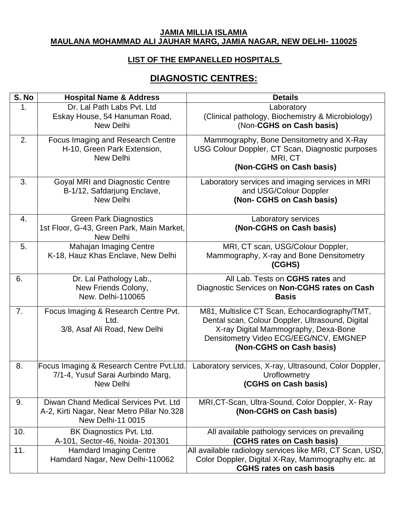#### **JAMIA MILLIA ISLAMIA MAULANA MOHAMMAD ALI JAUHAR MARG, JAMIA NAGAR, NEW DELHI- 110025**

### **LIST OF THE EMPANELLED HOSPITALS**

### **DIAGNOSTIC CENTRES:**

| S. No | <b>Hospital Name &amp; Address</b>                                                                              | <b>Details</b>                                                                                                                                                                                                   |
|-------|-----------------------------------------------------------------------------------------------------------------|------------------------------------------------------------------------------------------------------------------------------------------------------------------------------------------------------------------|
| 1.    | Dr. Lal Path Labs Pvt. Ltd<br>Eskay House, 54 Hanuman Road,<br>New Delhi                                        | Laboratory<br>(Clinical pathology, Biochemistry & Microbiology)<br>(Non-CGHS on Cash basis)                                                                                                                      |
| 2.    | Focus Imaging and Research Centre<br>H-10, Green Park Extension,<br><b>New Delhi</b>                            | Mammography, Bone Densitometry and X-Ray<br>USG Colour Doppler, CT Scan, Diagnostic purposes<br>MRI, CT<br>(Non-CGHS on Cash basis)                                                                              |
| 3.    | <b>Goyal MRI and Diagnostic Centre</b><br>B-1/12, Safdarjung Enclave,<br>New Delhi                              | Laboratory services and imaging services in MRI<br>and USG/Colour Doppler<br>(Non- CGHS on Cash basis)                                                                                                           |
| 4.    | <b>Green Park Diagnostics</b><br>1st Floor, G-43, Green Park, Main Market,<br>New Delhi                         | Laboratory services<br>(Non-CGHS on Cash basis)                                                                                                                                                                  |
| 5.    | <b>Mahajan Imaging Centre</b><br>K-18, Hauz Khas Enclave, New Delhi                                             | MRI, CT scan, USG/Colour Doppler,<br>Mammography, X-ray and Bone Densitometry<br>(CGHS)                                                                                                                          |
| 6.    | Dr. Lal Pathology Lab.,<br>New Friends Colony,<br>New. Delhi-110065                                             | All Lab. Tests on CGHS rates and<br>Diagnostic Services on Non-CGHS rates on Cash<br><b>Basis</b>                                                                                                                |
| 7.    | Focus Imaging & Research Centre Pvt.<br>Ltd.<br>3/8, Asaf Ali Road, New Delhi                                   | M81, Multislice CT Scan, Echocardiography/TMT,<br>Dental scan, Colour Doppler, Ultrasound, Digital<br>X-ray Digital Mammography, Dexa-Bone<br>Densitometry Video ECG/EEG/NCV, EMGNEP<br>(Non-CGHS on Cash basis) |
| 8.    | Focus Imaging & Research Centre Pvt.Ltd.<br>7/1-4, Yusuf Sarai Aurbindo Marg,<br>New Delhi                      | Laboratory services, X-ray, Ultrasound, Color Doppler,<br>Uroflowmetry<br>(CGHS on Cash basis)                                                                                                                   |
| 9.    | Diwan Chand Medical Services Pvt. Ltd<br>A-2, Kirti Nagar, Near Metro Pillar No.328<br><b>New Delhi-11 0015</b> | MRI, CT-Scan, Ultra-Sound, Color Doppler, X-Ray<br>(Non-CGHS on Cash basis)                                                                                                                                      |
| 10.   | BK Diagnostics Pvt. Ltd.<br>A-101, Sector-46, Noida- 201301                                                     | All available pathology services on prevailing<br>(CGHS rates on Cash basis)                                                                                                                                     |
| 11.   | <b>Hamdard Imaging Centre</b><br>Hamdard Nagar, New Delhi-110062                                                | All available radiology services like MRI, CT Scan, USD,<br>Color Doppler, Digital X-Ray, Mammography etc. at<br><b>CGHS rates on cash basis</b>                                                                 |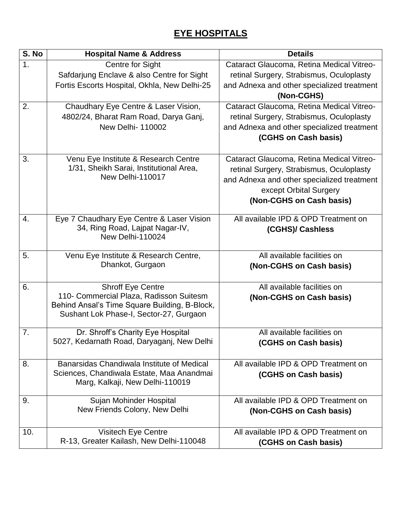# **EYE HOSPITALS**

| $\overline{\mathsf{S}}$ . No | <b>Hospital Name &amp; Address</b>                                                       | <b>Details</b>                             |
|------------------------------|------------------------------------------------------------------------------------------|--------------------------------------------|
| 1.                           | Centre for Sight                                                                         | Cataract Glaucoma, Retina Medical Vitreo-  |
|                              | Safdarjung Enclave & also Centre for Sight                                               | retinal Surgery, Strabismus, Oculoplasty   |
|                              | Fortis Escorts Hospital, Okhla, New Delhi-25                                             | and Adnexa and other specialized treatment |
|                              |                                                                                          | (Non-CGHS)                                 |
| 2.                           | Chaudhary Eye Centre & Laser Vision,                                                     | Cataract Glaucoma, Retina Medical Vitreo-  |
|                              | 4802/24, Bharat Ram Road, Darya Ganj,                                                    | retinal Surgery, Strabismus, Oculoplasty   |
|                              | <b>New Delhi-110002</b>                                                                  | and Adnexa and other specialized treatment |
|                              |                                                                                          | (CGHS on Cash basis)                       |
|                              |                                                                                          |                                            |
| 3.                           | Venu Eye Institute & Research Centre                                                     | Cataract Glaucoma, Retina Medical Vitreo-  |
|                              | 1/31, Sheikh Sarai, Institutional Area,                                                  | retinal Surgery, Strabismus, Oculoplasty   |
|                              | New Delhi-110017                                                                         | and Adnexa and other specialized treatment |
|                              |                                                                                          | except Orbital Surgery                     |
|                              |                                                                                          | (Non-CGHS on Cash basis)                   |
| 4.                           | Eye 7 Chaudhary Eye Centre & Laser Vision                                                | All available IPD & OPD Treatment on       |
|                              | 34, Ring Road, Lajpat Nagar-IV,                                                          | (CGHS)/ Cashless                           |
|                              | New Delhi-110024                                                                         |                                            |
|                              |                                                                                          |                                            |
| 5.                           | Venu Eye Institute & Research Centre,                                                    | All available facilities on                |
|                              | Dhankot, Gurgaon                                                                         | (Non-CGHS on Cash basis)                   |
|                              |                                                                                          |                                            |
| 6.                           | <b>Shroff Eye Centre</b>                                                                 | All available facilities on                |
|                              | 110- Commercial Plaza, Radisson Suitesm                                                  | (Non-CGHS on Cash basis)                   |
|                              | Behind Ansal's Time Square Building, B-Block,<br>Sushant Lok Phase-I, Sector-27, Gurgaon |                                            |
|                              |                                                                                          |                                            |
| 7.                           | Dr. Shroff's Charity Eye Hospital                                                        | All available facilities on                |
|                              | 5027, Kedarnath Road, Daryaganj, New Delhi                                               | (CGHS on Cash basis)                       |
|                              |                                                                                          |                                            |
| 8.                           | Banarsidas Chandiwala Institute of Medical                                               | All available IPD & OPD Treatment on       |
|                              | Sciences, Chandiwala Estate, Maa Anandmai                                                | (CGHS on Cash basis)                       |
|                              | Marg, Kalkaji, New Delhi-110019                                                          |                                            |
| 9.                           | Sujan Mohinder Hospital                                                                  | All available IPD & OPD Treatment on       |
|                              | New Friends Colony, New Delhi                                                            | (Non-CGHS on Cash basis)                   |
|                              |                                                                                          |                                            |
| 10.                          | Visitech Eye Centre                                                                      | All available IPD & OPD Treatment on       |
|                              | R-13, Greater Kailash, New Delhi-110048                                                  | (CGHS on Cash basis)                       |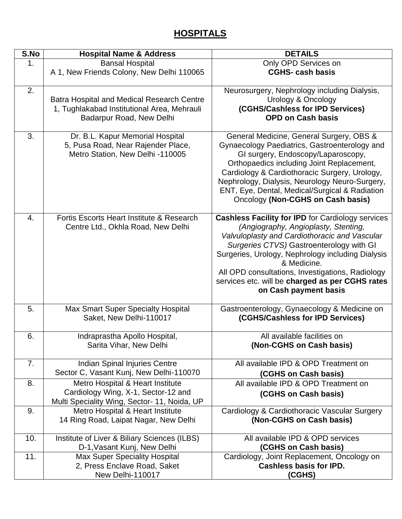## **HOSPITALS**

| S.No | <b>Hospital Name &amp; Address</b>                                                                                      | <b>DETAILS</b>                                                                                                                                                                                                                                                                                                                                                                                    |
|------|-------------------------------------------------------------------------------------------------------------------------|---------------------------------------------------------------------------------------------------------------------------------------------------------------------------------------------------------------------------------------------------------------------------------------------------------------------------------------------------------------------------------------------------|
| 1.   | <b>Bansal Hospital</b><br>A 1, New Friends Colony, New Delhi 110065                                                     | Only OPD Services on<br><b>CGHS-cash basis</b>                                                                                                                                                                                                                                                                                                                                                    |
| 2.   | Batra Hospital and Medical Research Centre<br>1, Tughlakabad Institutional Area, Mehrauli<br>Badarpur Road, New Delhi   | Neurosurgery, Nephrology including Dialysis,<br><b>Urology &amp; Oncology</b><br>(CGHS/Cashless for IPD Services)<br><b>OPD on Cash basis</b>                                                                                                                                                                                                                                                     |
| 3.   | Dr. B.L. Kapur Memorial Hospital<br>5, Pusa Road, Near Rajender Place,<br>Metro Station, New Delhi -110005              | General Medicine, General Surgery, OBS &<br>Gynaecology Paediatrics, Gastroenterology and<br>GI surgery, Endoscopy/Laparoscopy,<br>Orthopaedics including Joint Replacement,<br>Cardiology & Cardiothoracic Surgery, Urology,<br>Nephrology, Dialysis, Neurology Neuro-Surgery,<br>ENT, Eye, Dental, Medical/Surgical & Radiation<br>Oncology (Non-CGHS on Cash basis)                            |
| 4.   | Fortis Escorts Heart Institute & Research<br>Centre Ltd., Okhla Road, New Delhi                                         | <b>Cashless Facility for IPD for Cardiology services</b><br>(Angiography, Angioplasty, Stenting,<br>Valvuloplasty and Cardiothoracic and Vascular<br>Surgeries CTVS) Gastroenterology with GI<br>Surgeries, Urology, Nephrology including Dialysis<br>& Medicine.<br>All OPD consultations, Investigations, Radiology<br>services etc. will be charged as per CGHS rates<br>on Cash payment basis |
| 5.   | <b>Max Smart Super Specialty Hospital</b><br>Saket, New Delhi-110017                                                    | Gastroenterology, Gynaecology & Medicine on<br>(CGHS/Cashless for IPD Services)                                                                                                                                                                                                                                                                                                                   |
| 6.   | Indraprastha Apollo Hospital,<br>Sarita Vihar, New Delhi                                                                | All available facilities on<br>(Non-CGHS on Cash basis)                                                                                                                                                                                                                                                                                                                                           |
| 7.   | Indian Spinal Injuries Centre<br>Sector C, Vasant Kunj, New Delhi-110070                                                | All available IPD & OPD Treatment on<br>(CGHS on Cash basis)                                                                                                                                                                                                                                                                                                                                      |
| 8.   | Metro Hospital & Heart Institute<br>Cardiology Wing, X-1, Sector-12 and<br>Multi Speciality Wing, Sector- 11, Noida, UP | All available IPD & OPD Treatment on<br>(CGHS on Cash basis)                                                                                                                                                                                                                                                                                                                                      |
| 9.   | Metro Hospital & Heart Institute<br>14 Ring Road, Laipat Nagar, New Delhi                                               | Cardiology & Cardiothoracic Vascular Surgery<br>(Non-CGHS on Cash basis)                                                                                                                                                                                                                                                                                                                          |
| 10.  | Institute of Liver & Biliary Sciences (ILBS)<br>D-1, Vasant Kunj, New Delhi                                             | All available IPD & OPD services<br>(CGHS on Cash basis)                                                                                                                                                                                                                                                                                                                                          |
| 11.  | <b>Max Super Speciality Hospital</b><br>2, Press Enclave Road, Saket<br>New Delhi-110017                                | Cardiology, Joint Replacement, Oncology on<br><b>Cashless basis for IPD.</b><br>(CGHS)                                                                                                                                                                                                                                                                                                            |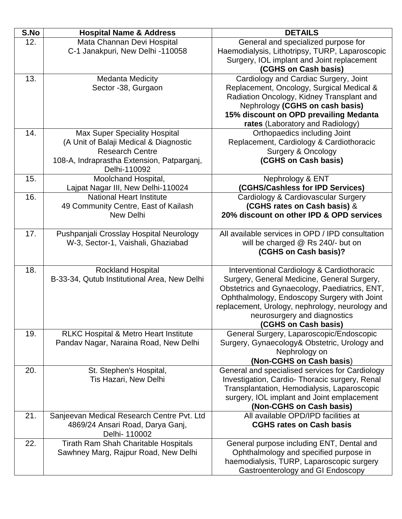| Mata Channan Devi Hospital<br>12.                                                                                                                       |                                     |
|---------------------------------------------------------------------------------------------------------------------------------------------------------|-------------------------------------|
|                                                                                                                                                         | General and specialized purpose for |
| C-1 Janakpuri, New Delhi -110058<br>Haemodialysis, Lithotripsy, TURP, Laparoscopic                                                                      |                                     |
| Surgery, IOL implant and Joint replacement                                                                                                              |                                     |
| (CGHS on Cash basis)                                                                                                                                    |                                     |
| 13.<br>Cardiology and Cardiac Surgery, Joint<br><b>Medanta Medicity</b>                                                                                 |                                     |
| Sector -38, Gurgaon<br>Replacement, Oncology, Surgical Medical &                                                                                        |                                     |
| Radiation Oncology, Kidney Transplant and                                                                                                               |                                     |
| Nephrology (CGHS on cash basis)                                                                                                                         |                                     |
| 15% discount on OPD prevailing Medanta                                                                                                                  |                                     |
| rates (Laboratory and Radiology)                                                                                                                        |                                     |
| Orthopaedics including Joint<br>14.<br><b>Max Super Speciality Hospital</b>                                                                             |                                     |
| Replacement, Cardiology & Cardiothoracic<br>(A Unit of Balaji Medical & Diagnostic                                                                      |                                     |
| <b>Research Centre</b><br><b>Surgery &amp; Oncology</b>                                                                                                 |                                     |
| (CGHS on Cash basis)<br>108-A, Indraprastha Extension, Patparganj,                                                                                      |                                     |
| Delhi-110092                                                                                                                                            |                                     |
| 15.<br>Moolchand Hospital,<br>Nephrology & ENT                                                                                                          |                                     |
| (CGHS/Cashless for IPD Services)<br>Lajpat Nagar III, New Delhi-110024<br>16.<br><b>National Heart Institute</b><br>Cardiology & Cardiovascular Surgery |                                     |
| (CGHS rates on Cash basis) &<br>49 Community Centre, East of Kailash                                                                                    |                                     |
| 20% discount on other IPD & OPD services<br><b>New Delhi</b>                                                                                            |                                     |
|                                                                                                                                                         |                                     |
| 17.<br>All available services in OPD / IPD consultation<br>Pushpanjali Crosslay Hospital Neurology                                                      |                                     |
| W-3, Sector-1, Vaishali, Ghaziabad<br>will be charged @ Rs 240/- but on                                                                                 |                                     |
| (CGHS on Cash basis)?                                                                                                                                   |                                     |
|                                                                                                                                                         |                                     |
| Rockland Hospital<br>18.<br>Interventional Cardiology & Cardiothoracic                                                                                  |                                     |
| B-33-34, Qutub Institutional Area, New Delhi<br>Surgery, General Medicine, General Surgery,                                                             |                                     |
| Obstetrics and Gynaecology, Paediatrics, ENT,                                                                                                           |                                     |
| Ophthalmology, Endoscopy Surgery with Joint                                                                                                             |                                     |
| replacement, Urology, nephrology, neurology and                                                                                                         |                                     |
| neurosurgery and diagnostics                                                                                                                            |                                     |
| (CGHS on Cash basis)                                                                                                                                    |                                     |
| 19.<br><b>RLKC Hospital &amp; Metro Heart Institute</b><br>General Surgery, Laparoscopic/Endoscopic                                                     |                                     |
| Surgery, Gynaecology& Obstetric, Urology and<br>Pandav Nagar, Naraina Road, New Delhi                                                                   |                                     |
| Nephrology on                                                                                                                                           |                                     |
| (Non-CGHS on Cash basis)                                                                                                                                |                                     |
| General and specialised services for Cardiology<br>20.<br>St. Stephen's Hospital,                                                                       |                                     |
| Tis Hazari, New Delhi<br>Investigation, Cardio-Thoracic surgery, Renal                                                                                  |                                     |
| Transplantation, Hemodialysis, Laparoscopic<br>surgery, IOL implant and Joint emplacement                                                               |                                     |
| (Non-CGHS on Cash basis)                                                                                                                                |                                     |
| All available OPD/IPD facilities at<br>21.<br>Sanjeevan Medical Research Centre Pvt. Ltd                                                                |                                     |
| <b>CGHS rates on Cash basis</b><br>4869/24 Ansari Road, Darya Ganj,                                                                                     |                                     |
| Delhi- 110002                                                                                                                                           |                                     |
| 22.<br><b>Tirath Ram Shah Charitable Hospitals</b><br>General purpose including ENT, Dental and                                                         |                                     |
| Sawhney Marg, Rajpur Road, New Delhi<br>Ophthalmology and specified purpose in                                                                          |                                     |
| haemodialysis, TURP, Laparoscopic surgery                                                                                                               |                                     |
| Gastroenterology and GI Endoscopy                                                                                                                       |                                     |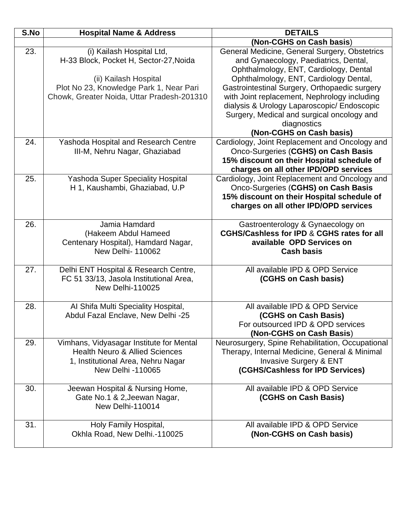| S.No | <b>Hospital Name &amp; Address</b>          | <b>DETAILS</b>                                                                             |
|------|---------------------------------------------|--------------------------------------------------------------------------------------------|
|      |                                             | (Non-CGHS on Cash basis)                                                                   |
| 23.  | (i) Kailash Hospital Ltd,                   | General Medicine, General Surgery, Obstetrics                                              |
|      | H-33 Block, Pocket H, Sector-27, Noida      | and Gynaecology, Paediatrics, Dental,                                                      |
|      |                                             | Ophthalmology, ENT, Cardiology, Dental                                                     |
|      | (ii) Kailash Hospital                       | Ophthalmology, ENT, Cardiology Dental,                                                     |
|      | Plot No 23, Knowledge Park 1, Near Pari     | Gastrointestinal Surgery, Orthopaedic surgery                                              |
|      | Chowk, Greater Noida, Uttar Pradesh-201310  | with Joint replacement, Nephrology including                                               |
|      |                                             | dialysis & Urology Laparoscopic/ Endoscopic                                                |
|      |                                             | Surgery, Medical and surgical oncology and                                                 |
|      |                                             | diagnostics                                                                                |
|      |                                             | (Non-CGHS on Cash basis)                                                                   |
| 24.  | <b>Yashoda Hospital and Research Centre</b> | Cardiology, Joint Replacement and Oncology and                                             |
|      | III-M, Nehru Nagar, Ghaziabad               | Onco-Surgeries (CGHS) on Cash Basis                                                        |
|      |                                             | 15% discount on their Hospital schedule of                                                 |
|      |                                             | charges on all other IPD/OPD services                                                      |
| 25.  | <b>Yashoda Super Speciality Hospital</b>    | Cardiology, Joint Replacement and Oncology and                                             |
|      | H 1, Kaushambi, Ghaziabad, U.P              | Onco-Surgeries (CGHS) on Cash Basis                                                        |
|      |                                             | 15% discount on their Hospital schedule of                                                 |
|      |                                             | charges on all other IPD/OPD services                                                      |
|      |                                             |                                                                                            |
| 26.  | Jamia Hamdard<br>(Hakeem Abdul Hameed       | Gastroenterology & Gynaecology on<br><b>CGHS/Cashless for IPD &amp; CGHS rates for all</b> |
|      | Centenary Hospital), Hamdard Nagar,         | available OPD Services on                                                                  |
|      | <b>New Delhi-110062</b>                     | <b>Cash basis</b>                                                                          |
|      |                                             |                                                                                            |
| 27.  | Delhi ENT Hospital & Research Centre,       | All available IPD & OPD Service                                                            |
|      | FC 51 33/13, Jasola Institutional Area,     | (CGHS on Cash basis)                                                                       |
|      | <b>New Delhi-110025</b>                     |                                                                                            |
|      |                                             |                                                                                            |
| 28.  | Al Shifa Multi Speciality Hospital,         | All available IPD & OPD Service                                                            |
|      | Abdul Fazal Enclave, New Delhi -25          | (CGHS on Cash Basis)                                                                       |
|      |                                             | For outsourced IPD & OPD services                                                          |
|      |                                             | (Non-CGHS on Cash Basis)                                                                   |
| 29.  | Vimhans, Vidyasagar Institute for Mental    | Neurosurgery, Spine Rehabilitation, Occupational                                           |
|      | <b>Health Neuro &amp; Allied Sciences</b>   | Therapy, Internal Medicine, General & Minimal                                              |
|      | 1, Institutional Area, Nehru Nagar          | <b>Invasive Surgery &amp; ENT</b>                                                          |
|      | New Delhi -110065                           | (CGHS/Cashless for IPD Services)                                                           |
| 30.  | Jeewan Hospital & Nursing Home,             | All available IPD & OPD Service                                                            |
|      | Gate No.1 & 2, Jeewan Nagar,                | (CGHS on Cash Basis)                                                                       |
|      | New Delhi-110014                            |                                                                                            |
|      |                                             |                                                                                            |
| 31.  | Holy Family Hospital,                       | All available IPD & OPD Service                                                            |
|      | Okhla Road, New Delhi.-110025               | (Non-CGHS on Cash basis)                                                                   |
|      |                                             |                                                                                            |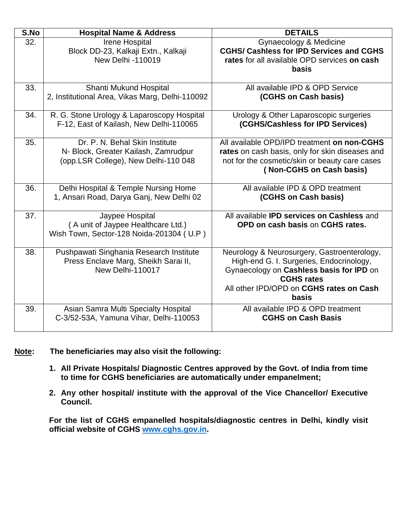| S.No | <b>Hospital Name &amp; Address</b>                                                                             | <b>DETAILS</b>                                                                                                                                                                                                      |  |
|------|----------------------------------------------------------------------------------------------------------------|---------------------------------------------------------------------------------------------------------------------------------------------------------------------------------------------------------------------|--|
| 32.  | Irene Hospital<br>Block DD-23, Kalkaji Extn., Kalkaji<br>New Delhi -110019                                     | Gynaecology & Medicine<br><b>CGHS/ Cashless for IPD Services and CGHS</b><br>rates for all available OPD services on cash<br>basis                                                                                  |  |
| 33.  | Shanti Mukund Hospital<br>2, Institutional Area, Vikas Marg, Delhi-110092                                      | All available IPD & OPD Service<br>(CGHS on Cash basis)                                                                                                                                                             |  |
| 34.  | R. G. Stone Urology & Laparoscopy Hospital<br>F-12, East of Kailash, New Delhi-110065                          | Urology & Other Laparoscopic surgeries<br>(CGHS/Cashless for IPD Services)                                                                                                                                          |  |
| 35.  | Dr. P. N. Behal Skin Institute<br>N- Block, Greater Kailash, Zamrudpur<br>(opp.LSR College), New Delhi-110 048 | All available OPD/IPD treatment on non-CGHS<br>rates on cash basis, only for skin diseases and<br>not for the cosmetic/skin or beauty care cases<br>(Non-CGHS on Cash basis)                                        |  |
| 36.  | Delhi Hospital & Temple Nursing Home<br>1, Ansari Road, Darya Ganj, New Delhi 02                               | All available IPD & OPD treatment<br>(CGHS on Cash basis)                                                                                                                                                           |  |
| 37.  | Jaypee Hospital<br>(A unit of Jaypee Healthcare Ltd.)<br>Wish Town, Sector-128 Noida-201304 (U.P)              | All available <b>IPD services on Cashless</b> and<br>OPD on cash basis on CGHS rates.                                                                                                                               |  |
| 38.  | Pushpawati Singhania Research Institute<br>Press Enclave Marg, Sheikh Sarai II,<br>New Delhi-110017            | Neurology & Neurosurgery, Gastroenterology,<br>High-end G. I. Surgeries, Endocrinology,<br>Gynaecology on Cashless basis for IPD on<br><b>CGHS rates</b><br>All other IPD/OPD on CGHS rates on Cash<br><b>basis</b> |  |
| 39.  | Asian Samra Multi Specialty Hospital<br>C-3/52-53A, Yamuna Vihar, Delhi-110053                                 | All available IPD & OPD treatment<br><b>CGHS on Cash Basis</b>                                                                                                                                                      |  |

#### **Note: The beneficiaries may also visit the following:**

- **1. All Private Hospitals/ Diagnostic Centres approved by the Govt. of India from time to time for CGHS beneficiaries are automatically under empanelment;**
- **2. Any other hospital/ institute with the approval of the Vice Chancellor/ Executive Council.**

**For the list of CGHS empanelled hospitals/diagnostic centres in Delhi, kindly visit official website of CGHS [www.cghs.gov.in.](http://www.cghs.gov.in/)**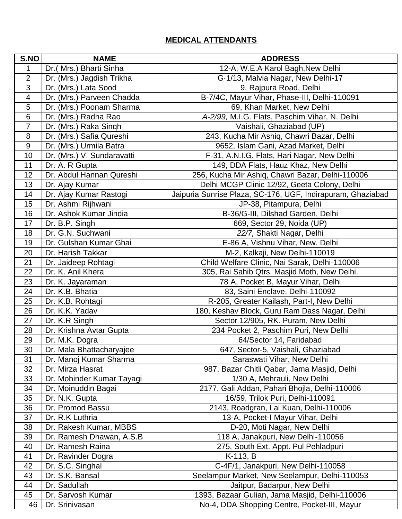### **MEDICAL ATTENDANTS**

| S.NO           | <b>NAME</b>                        | <b>ADDRESS</b>                                                                       |
|----------------|------------------------------------|--------------------------------------------------------------------------------------|
| 1              | Dr.( Mrs.) Bharti Sinha            | 12-A, W.E.A Karol Bagh, New Delhi                                                    |
| $\overline{2}$ | Dr. (Mrs.) Jagdish Trikha          | G-1/13, Malvia Nagar, New Delhi-17                                                   |
| 3              | Dr. (Mrs.) Lata Sood               | 9, Rajpura Road, Delhi                                                               |
| $\overline{4}$ | Dr. (Mrs.) Parveen Chadda          | B-7/4C, Mayur Vihar, Phase-III, Delhi-110091                                         |
| 5              | Dr. (Mrs.) Poonam Sharma           | 69, Khan Market, New Delhi                                                           |
| 6              | Dr. (Mrs.) Radha Rao               | A-2/99, M.I.G. Flats, Paschim Vihar, N. Delhi                                        |
| $\overline{7}$ | Dr. (Mrs.) Raka Singh              | Vaishali, Ghaziabad (UP)                                                             |
| 8              | Dr. (Mrs.) Safia Qureshi           | 243, Kucha Mir Ashiq, Chawri Bazar, Delhi                                            |
| 9              | Dr. (Mrs.) Urmila Batra            | 9652, Islam Gani, Azad Market, Delhi                                                 |
| 10             | Dr. (Mrs.) V. Sundaravatti         | F-31, A.N.I.G. Flats, Hari Nagar, New Delhi                                          |
| 11             | Dr. A. R Gupta                     | 149, DDA Flats, Hauz Khaz, New Delhi                                                 |
| 12             | Dr. Abdul Hannan Qureshi           | 256, Kucha Mir Ashiq, Chawri Bazar, Delhi-110006                                     |
| 13             | Dr. Ajay Kumar                     | Delhi MCGP Clinic 12/92, Geeta Colony, Delhi                                         |
| 14             | Dr. Ajay Kumar Rastogi             | Jaipuria Sunrise Plaza, SC-176, UGF, Indirapuram, Ghaziabad                          |
| 15             | Dr. Ashmi Rijhwani                 | JP-38, Pitampura, Delhi                                                              |
| 16             | Dr. Ashok Kumar Jindia             | B-36/G-III, Dilshad Garden, Delhi                                                    |
| 17             | Dr. B.P. Singh                     | 669, Sector 29, Noida (UP)                                                           |
| 18             | Dr. G.N. Suchwani                  | 22/7, Shakti Nagar, Delhi                                                            |
| 19             | Dr. Gulshan Kumar Ghai             | E-86 A, Vishnu Vihar, New. Delhi                                                     |
| 20             | Dr. Harish Takkar                  | M-2, Kalkaji, New Delhi-110019                                                       |
| 21             | Dr. Jaideep Rohtagi                | Child Welfare Clinic, Nai Sarak, Delhi-110006                                        |
| 22             | Dr. K. Anil Khera                  | 305, Rai Sahib Qtrs. Masjid Moth, New Delhi.                                         |
| 23             | Dr. K. Jayaraman                   | 78 A, Pocket B, Mayur Vihar, Delhi                                                   |
| 24             | Dr. K.B. Bhatia                    | 83, Saini Enclave, Delhi-110092                                                      |
| 25             | Dr. K.B. Rohtagi<br>Dr. K.K. Yadav | R-205, Greater Kailash, Part-I, New Delhi                                            |
| 26<br>27       | Dr. K.R Singh                      | 180, Keshav Block, Guru Ram Dass Nagar, Delhi<br>Sector 12/905, RK. Puram, New Delhi |
| 28             | Dr. Krishna Avtar Gupta            | 234 Pocket 2, Paschim Puri, New Delhi                                                |
| 29             | Dr. M.K. Dogra                     | 64/Sector 14, Faridabad                                                              |
| 30             | Dr. Mala Bhattacharyajee           | 647, Sector-5, Vaishali, Ghaziabad                                                   |
| 31             | Dr. Manoj Kumar Sharma             | Saraswati Vihar, New Delhi                                                           |
| 32             | Dr. Mirza Hasrat                   | 987, Bazar Chitli Qabar, Jama Masjid, Delhi                                          |
| 33             | Dr. Mohinder Kumar Tayagi          | 1/30 A, Mehrauli, New Delhi                                                          |
| 34             | Dr. Moinuddin Bagai                | 2177, Gali Addan, Pahari Bhojla, Delhi-110006                                        |
| 35             | Dr. N.K. Gupta                     | 16/59, Trilok Puri, Delhi-110091                                                     |
| 36             | Dr. Promod Bassu                   | 2143, Roadgran, Lal Kuan, Delhi-110006                                               |
| 37             | Dr. R.K Luthria                    | 13-A, Pocket-I Mayur Vihar, Delhi                                                    |
| 38             | Dr. Rakesh Kumar, MBBS             | D-20, Moti Nagar, New Delhi                                                          |
| 39             | Dr. Ramesh Dhawan, A.S.B           | 118 A, Janakpuri, New Delhi-110056                                                   |
| 40             | Dr. Ramesh Raina                   | 275, South Ext. Appt. Pul Pehladpuri                                                 |
| 41             | Dr. Ravinder Dogra                 | K-113, B                                                                             |
| 42             | Dr. S.C. Singhal                   | C-4F/1, Janakpuri, New Delhi-110058                                                  |
| 43             | Dr. S.K. Bansal                    | Seelampur Market, New Seelampur, Delhi-110053                                        |
| 44             | Dr. Sadullah                       | Jaitpur, Badarpur, New Delhi                                                         |
| 45             | Dr. Sarvosh Kumar                  | 1393, Bazaar Gulian, Jama Masjid, Delhi-110006                                       |
| 46             | Dr. Srinivasan                     | No-4, DDA Shopping Centre, Pocket-III, Mayur                                         |